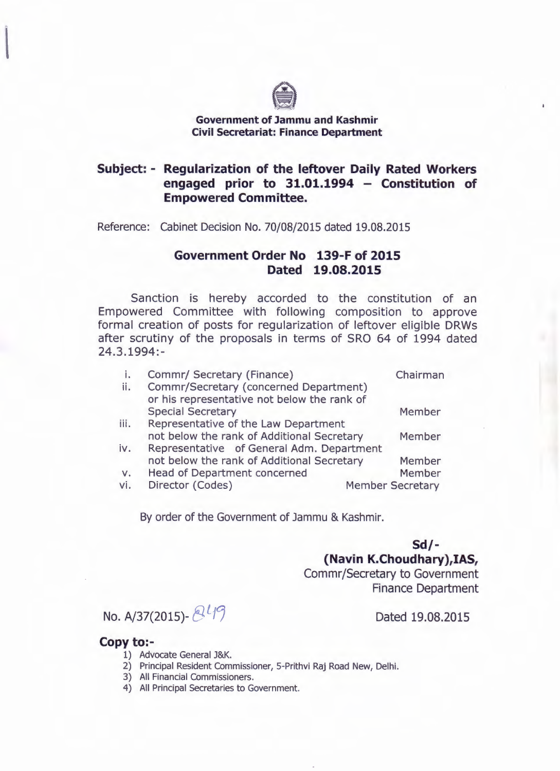

## **Government of Jammu and Kashmir Civil Secretariat: Finance Department**

## **Subject: - Regularization of the leftover Daily Rated Workers engaged prior to 31.01.1994 - Constitution of Empowered Committee.**

Reference: Cabinet Decision No. 70/08/2015 dated 19.08.2015

## **Government Order No 139-F of 2015 Dated 19.08.2015**

Sanction is hereby accorded to the constitution of an Empowered Committee with following composition to approve formal creation of posts for regularization of leftover eligible DRWs after scrutiny of the proposals in terms of SRO 64 of 1994 dated 24.3.1994:-

|             | Commr/ Secretary (Finance)                                              | Chairman                |  |
|-------------|-------------------------------------------------------------------------|-------------------------|--|
| ii.         | Commr/Secretary (concerned Department)                                  |                         |  |
|             | or his representative not below the rank of<br><b>Special Secretary</b> | Member                  |  |
| iii.        | Representative of the Law Department                                    |                         |  |
|             | not below the rank of Additional Secretary                              | Member                  |  |
| iv.         | Representative of General Adm. Department                               |                         |  |
|             | not below the rank of Additional Secretary                              | Member                  |  |
| $V_{\star}$ | <b>Head of Department concerned</b>                                     | Member                  |  |
| vi.         | Director (Codes)                                                        | <b>Member Secretary</b> |  |

By order of the Government of Jammu & Kashmir.

**Sd/- (Navin K.Choudhary),IAS,** Commr/Secretary to Government Finance Department

No. A/37(2015)- <sup>21</sup>/<sup>9</sup> Dated 19.08.2015

## **Copy to:-**

- 1) Advocate General J&K.
- 2) Principal Resident Commissioner, 5-Prithvi Raj Road New, Delhi.
- 3) All Financial Commissioners.
- 4) All Principal Secretaries to Government.